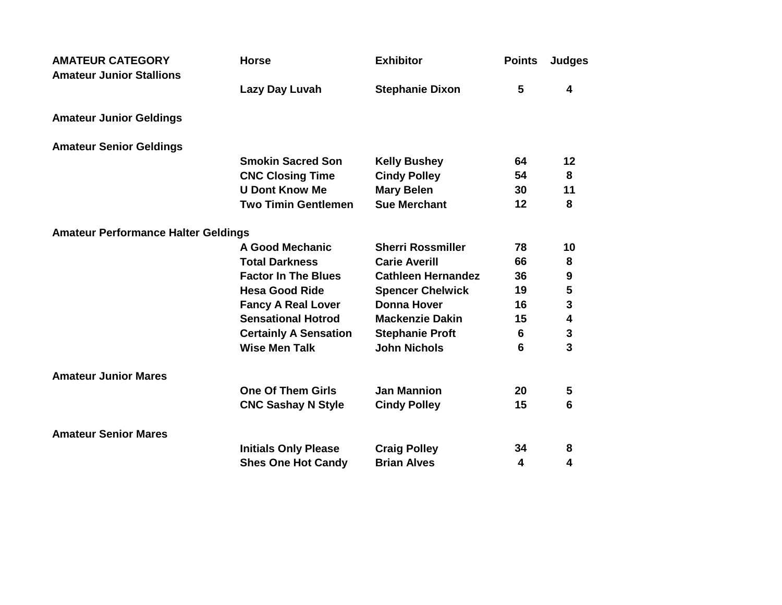| <b>AMATEUR CATEGORY</b><br><b>Amateur Junior Stallions</b> | <b>Horse</b>                 | <b>Exhibitor</b>          | <b>Points</b> | <b>Judges</b>           |
|------------------------------------------------------------|------------------------------|---------------------------|---------------|-------------------------|
|                                                            | Lazy Day Luvah               | <b>Stephanie Dixon</b>    | 5             | 4                       |
| <b>Amateur Junior Geldings</b>                             |                              |                           |               |                         |
| <b>Amateur Senior Geldings</b>                             |                              |                           |               |                         |
|                                                            | <b>Smokin Sacred Son</b>     | <b>Kelly Bushey</b>       | 64            | 12                      |
|                                                            | <b>CNC Closing Time</b>      | <b>Cindy Polley</b>       | 54            | 8                       |
|                                                            | <b>U Dont Know Me</b>        | <b>Mary Belen</b>         | 30            | 11                      |
|                                                            | <b>Two Timin Gentlemen</b>   | <b>Sue Merchant</b>       | 12            | 8                       |
| <b>Amateur Performance Halter Geldings</b>                 |                              |                           |               |                         |
|                                                            | A Good Mechanic              | <b>Sherri Rossmiller</b>  | 78            | 10                      |
|                                                            | <b>Total Darkness</b>        | <b>Carie Averill</b>      | 66            | 8                       |
|                                                            | <b>Factor In The Blues</b>   | <b>Cathleen Hernandez</b> | 36            | $\boldsymbol{9}$        |
|                                                            | <b>Hesa Good Ride</b>        | <b>Spencer Chelwick</b>   | 19            | 5                       |
|                                                            | <b>Fancy A Real Lover</b>    | <b>Donna Hover</b>        | 16            | 3                       |
|                                                            | <b>Sensational Hotrod</b>    | <b>Mackenzie Dakin</b>    | 15            | $\overline{\mathbf{4}}$ |
|                                                            | <b>Certainly A Sensation</b> | <b>Stephanie Proft</b>    | 6             | ${\bf 3}$               |
|                                                            | <b>Wise Men Talk</b>         | <b>John Nichols</b>       | 6             | $\overline{3}$          |
| <b>Amateur Junior Mares</b>                                |                              |                           |               |                         |
|                                                            | <b>One Of Them Girls</b>     | <b>Jan Mannion</b>        | 20            | 5                       |
|                                                            | <b>CNC Sashay N Style</b>    | <b>Cindy Polley</b>       | 15            | 6                       |
| <b>Amateur Senior Mares</b>                                |                              |                           |               |                         |
|                                                            | <b>Initials Only Please</b>  | <b>Craig Polley</b>       | 34            | 8                       |
|                                                            | <b>Shes One Hot Candy</b>    | <b>Brian Alves</b>        | 4             | 4                       |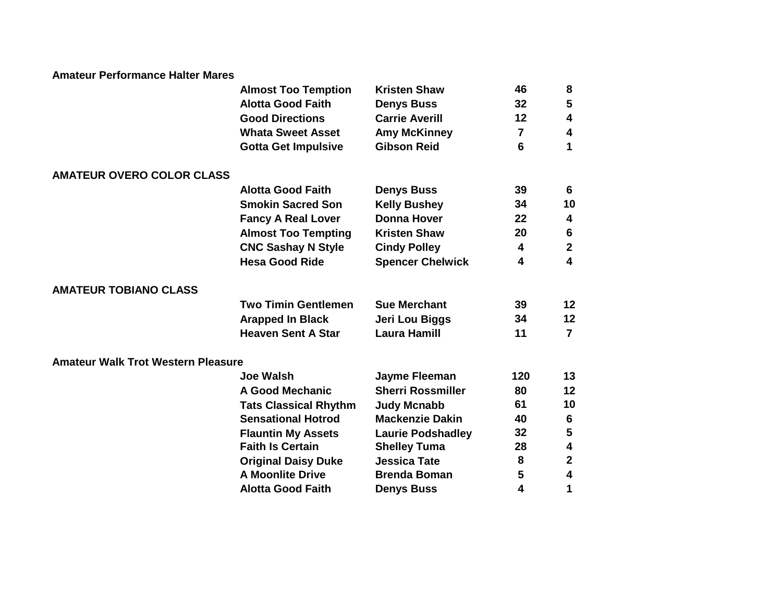## **Amateur Performance Halter Mares**

|                                           | <b>Almost Too Temption</b>   | <b>Kristen Shaw</b>      | 46             | 8            |  |
|-------------------------------------------|------------------------------|--------------------------|----------------|--------------|--|
|                                           | <b>Alotta Good Faith</b>     | <b>Denys Buss</b>        | 32             | 5            |  |
|                                           | <b>Good Directions</b>       | <b>Carrie Averill</b>    | 12             | 4            |  |
|                                           | <b>Whata Sweet Asset</b>     | <b>Amy McKinney</b>      | $\overline{7}$ | 4            |  |
|                                           | <b>Gotta Get Impulsive</b>   | <b>Gibson Reid</b>       | 6              | 1            |  |
| <b>AMATEUR OVERO COLOR CLASS</b>          |                              |                          |                |              |  |
|                                           | <b>Alotta Good Faith</b>     | <b>Denys Buss</b>        | 39             | 6            |  |
|                                           | <b>Smokin Sacred Son</b>     | <b>Kelly Bushey</b>      | 34             | 10           |  |
|                                           | <b>Fancy A Real Lover</b>    | <b>Donna Hover</b>       | 22             | 4            |  |
|                                           | <b>Almost Too Tempting</b>   | <b>Kristen Shaw</b>      | 20             | 6            |  |
|                                           | <b>CNC Sashay N Style</b>    | <b>Cindy Polley</b>      | 4              | $\mathbf{2}$ |  |
|                                           | <b>Hesa Good Ride</b>        | <b>Spencer Chelwick</b>  | 4              | 4            |  |
| <b>AMATEUR TOBIANO CLASS</b>              |                              |                          |                |              |  |
|                                           | <b>Two Timin Gentlemen</b>   | <b>Sue Merchant</b>      | 39             | 12           |  |
|                                           | <b>Arapped In Black</b>      | Jeri Lou Biggs           | 34             | 12           |  |
|                                           | <b>Heaven Sent A Star</b>    | <b>Laura Hamill</b>      | 11             | 7            |  |
| <b>Amateur Walk Trot Western Pleasure</b> |                              |                          |                |              |  |
|                                           | Joe Walsh                    | Jayme Fleeman            | 120            | 13           |  |
|                                           | <b>A Good Mechanic</b>       | <b>Sherri Rossmiller</b> | 80             | 12           |  |
|                                           | <b>Tats Classical Rhythm</b> | <b>Judy Mcnabb</b>       | 61             | 10           |  |
|                                           | <b>Sensational Hotrod</b>    | <b>Mackenzie Dakin</b>   | 40             | 6            |  |
|                                           | <b>Flauntin My Assets</b>    | <b>Laurie Podshadley</b> | 32             | 5            |  |
|                                           | <b>Faith Is Certain</b>      | <b>Shelley Tuma</b>      | 28             | 4            |  |
|                                           | <b>Original Daisy Duke</b>   | <b>Jessica Tate</b>      | 8              | 2            |  |
|                                           | <b>A Moonlite Drive</b>      | <b>Brenda Boman</b>      | 5              | 4            |  |
|                                           | <b>Alotta Good Faith</b>     | <b>Denys Buss</b>        | 4              | 1            |  |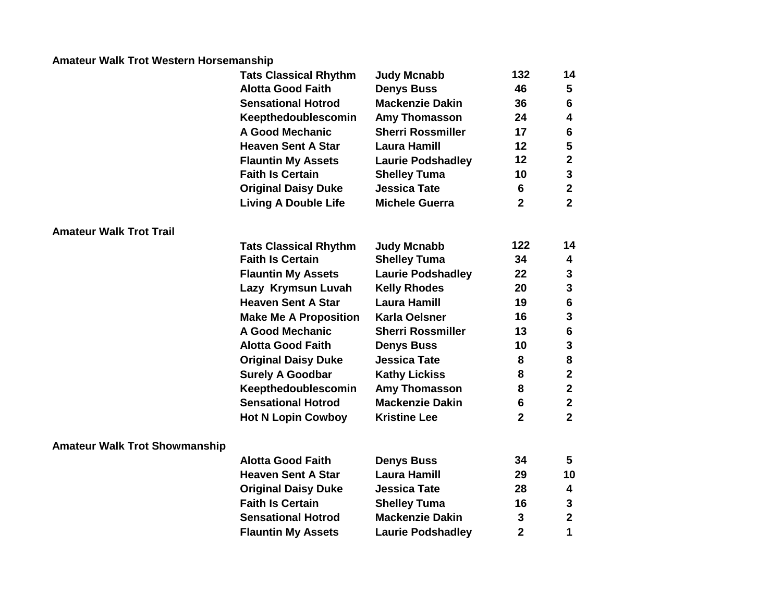## **Amateur Walk Trot Western Horsemanship**

|                                      | <b>Tats Classical Rhythm</b> | <b>Judy Mcnabb</b>       | 132            | 14                      |
|--------------------------------------|------------------------------|--------------------------|----------------|-------------------------|
|                                      | <b>Alotta Good Faith</b>     | <b>Denys Buss</b>        | 46             | $\sqrt{5}$              |
|                                      | <b>Sensational Hotrod</b>    | <b>Mackenzie Dakin</b>   | 36             | $\bf 6$                 |
|                                      | Keepthedoublescomin          | Amy Thomasson            | 24             | 4                       |
|                                      | <b>A Good Mechanic</b>       | <b>Sherri Rossmiller</b> | 17             | $6\phantom{1}6$         |
|                                      | <b>Heaven Sent A Star</b>    | <b>Laura Hamill</b>      | 12             | ${\bf 5}$               |
|                                      | <b>Flauntin My Assets</b>    | <b>Laurie Podshadley</b> | 12             | $\boldsymbol{2}$        |
|                                      | <b>Faith Is Certain</b>      | <b>Shelley Tuma</b>      | 10             | $\mathbf{3}$            |
|                                      | <b>Original Daisy Duke</b>   | <b>Jessica Tate</b>      | 6              | $\mathbf{2}$            |
|                                      | <b>Living A Double Life</b>  | <b>Michele Guerra</b>    | $\overline{2}$ | $\overline{\mathbf{2}}$ |
| <b>Amateur Walk Trot Trail</b>       |                              |                          |                |                         |
|                                      | <b>Tats Classical Rhythm</b> | <b>Judy Mcnabb</b>       | 122            | 14                      |
|                                      | <b>Faith Is Certain</b>      | <b>Shelley Tuma</b>      | 34             | 4                       |
|                                      | <b>Flauntin My Assets</b>    | <b>Laurie Podshadley</b> | 22             | $\mathbf{3}$            |
|                                      | Lazy Krymsun Luvah           | <b>Kelly Rhodes</b>      | 20             | $\mathbf{3}$            |
|                                      | <b>Heaven Sent A Star</b>    | <b>Laura Hamill</b>      | 19             | $\bf 6$                 |
|                                      | <b>Make Me A Proposition</b> | <b>Karla Oelsner</b>     | 16             | $\mathbf{3}$            |
|                                      | <b>A Good Mechanic</b>       | <b>Sherri Rossmiller</b> | 13             | $\bf 6$                 |
|                                      | <b>Alotta Good Faith</b>     | <b>Denys Buss</b>        | 10             | $\mathbf{3}$            |
|                                      | <b>Original Daisy Duke</b>   | <b>Jessica Tate</b>      | 8              | ${\bf 8}$               |
|                                      | <b>Surely A Goodbar</b>      | <b>Kathy Lickiss</b>     | 8              | $\boldsymbol{2}$        |
|                                      | Keepthedoublescomin          | Amy Thomasson            | 8              | $\boldsymbol{2}$        |
|                                      | <b>Sensational Hotrod</b>    | <b>Mackenzie Dakin</b>   | 6              | $\mathbf{2}$            |
|                                      | <b>Hot N Lopin Cowboy</b>    | <b>Kristine Lee</b>      | $\overline{2}$ | $\overline{2}$          |
| <b>Amateur Walk Trot Showmanship</b> |                              |                          |                |                         |
|                                      | <b>Alotta Good Faith</b>     | <b>Denys Buss</b>        | 34             | 5                       |
|                                      | <b>Heaven Sent A Star</b>    | <b>Laura Hamill</b>      | 29             | 10                      |
|                                      | <b>Original Daisy Duke</b>   | <b>Jessica Tate</b>      | 28             | 4                       |
|                                      | <b>Faith Is Certain</b>      | <b>Shelley Tuma</b>      | 16             | $\mathbf{3}$            |
|                                      | <b>Sensational Hotrod</b>    | <b>Mackenzie Dakin</b>   | 3              | $\boldsymbol{2}$        |
|                                      | <b>Flauntin My Assets</b>    | <b>Laurie Podshadley</b> | $\overline{2}$ | 1                       |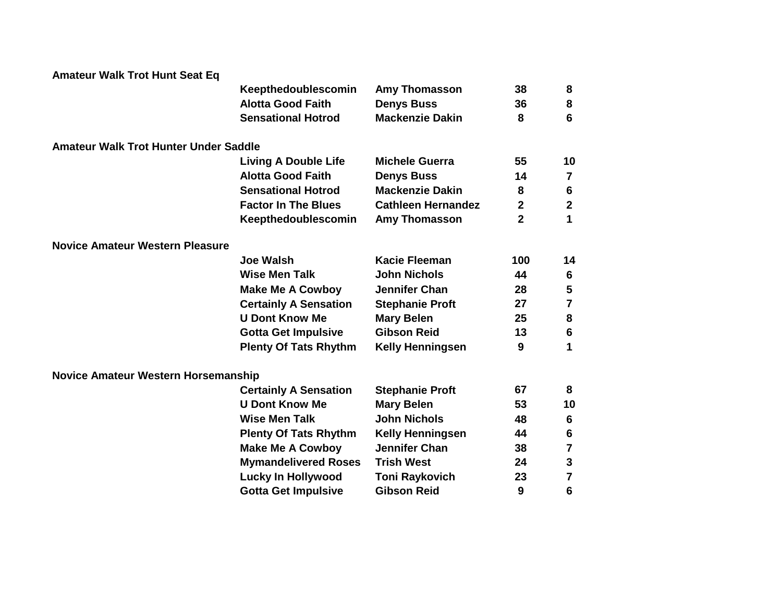| <b>Amateur Walk Trot Hunt Seat Eq</b>        |                              |                           |                |                         |
|----------------------------------------------|------------------------------|---------------------------|----------------|-------------------------|
|                                              | Keepthedoublescomin          | <b>Amy Thomasson</b>      | 38             | 8                       |
|                                              | <b>Alotta Good Faith</b>     | <b>Denys Buss</b>         | 36             | 8                       |
|                                              | <b>Sensational Hotrod</b>    | <b>Mackenzie Dakin</b>    | 8              | 6                       |
| <b>Amateur Walk Trot Hunter Under Saddle</b> |                              |                           |                |                         |
|                                              | <b>Living A Double Life</b>  | <b>Michele Guerra</b>     | 55             | 10                      |
|                                              | <b>Alotta Good Faith</b>     | <b>Denys Buss</b>         | 14             | $\overline{\mathbf{7}}$ |
|                                              | <b>Sensational Hotrod</b>    | <b>Mackenzie Dakin</b>    | 8              | $6\phantom{1}6$         |
|                                              | <b>Factor In The Blues</b>   | <b>Cathleen Hernandez</b> | $\mathbf{2}$   | $\mathbf{2}$            |
|                                              | Keepthedoublescomin          | Amy Thomasson             | $\overline{2}$ | 1                       |
| <b>Novice Amateur Western Pleasure</b>       |                              |                           |                |                         |
|                                              | <b>Joe Walsh</b>             | <b>Kacie Fleeman</b>      | 100            | 14                      |
|                                              | <b>Wise Men Talk</b>         | <b>John Nichols</b>       | 44             | $6\phantom{1}6$         |
|                                              | <b>Make Me A Cowboy</b>      | <b>Jennifer Chan</b>      | 28             | 5                       |
|                                              | <b>Certainly A Sensation</b> | <b>Stephanie Proft</b>    | 27             | $\overline{7}$          |
|                                              | <b>U Dont Know Me</b>        | <b>Mary Belen</b>         | 25             | 8                       |
|                                              | <b>Gotta Get Impulsive</b>   | <b>Gibson Reid</b>        | 13             | $6\phantom{1}6$         |
|                                              | <b>Plenty Of Tats Rhythm</b> | <b>Kelly Henningsen</b>   | 9              | 1                       |
| <b>Novice Amateur Western Horsemanship</b>   |                              |                           |                |                         |
|                                              | <b>Certainly A Sensation</b> | <b>Stephanie Proft</b>    | 67             | 8                       |
|                                              | <b>U Dont Know Me</b>        | <b>Mary Belen</b>         | 53             | 10                      |
|                                              | <b>Wise Men Talk</b>         | <b>John Nichols</b>       | 48             | $6\phantom{1}6$         |
|                                              | <b>Plenty Of Tats Rhythm</b> | <b>Kelly Henningsen</b>   | 44             | 6                       |
|                                              | <b>Make Me A Cowboy</b>      | <b>Jennifer Chan</b>      | 38             | $\overline{7}$          |
|                                              | <b>Mymandelivered Roses</b>  | <b>Trish West</b>         | 24             | $\mathbf{3}$            |
|                                              | <b>Lucky In Hollywood</b>    | <b>Toni Raykovich</b>     | 23             | $\overline{7}$          |
|                                              | <b>Gotta Get Impulsive</b>   | <b>Gibson Reid</b>        | 9              | 6                       |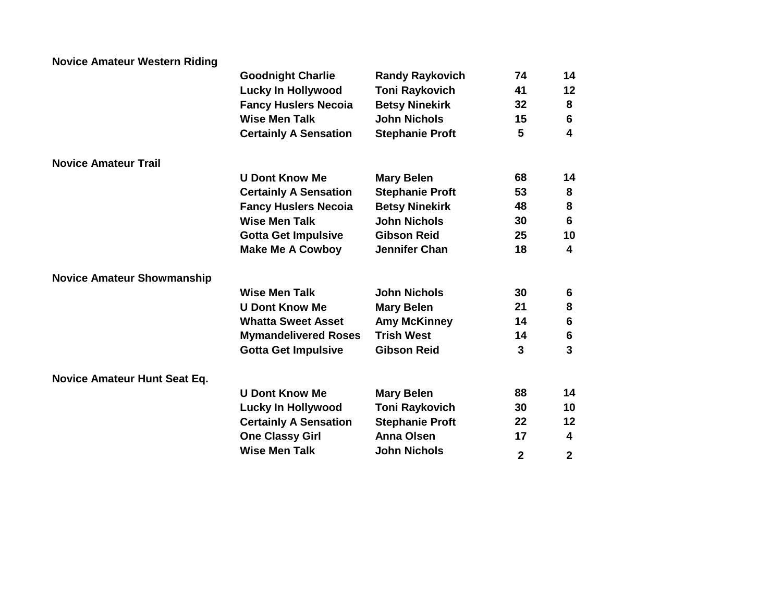| <b>Novice Amateur Western Riding</b> |                              |                        |                |                         |
|--------------------------------------|------------------------------|------------------------|----------------|-------------------------|
|                                      | <b>Goodnight Charlie</b>     | <b>Randy Raykovich</b> | 74             | 14                      |
|                                      | <b>Lucky In Hollywood</b>    | <b>Toni Raykovich</b>  | 41             | 12                      |
|                                      | <b>Fancy Huslers Necoia</b>  | <b>Betsy Ninekirk</b>  | 32             | 8                       |
|                                      | <b>Wise Men Talk</b>         | <b>John Nichols</b>    | 15             | 6                       |
|                                      | <b>Certainly A Sensation</b> | <b>Stephanie Proft</b> | 5              | $\overline{\mathbf{4}}$ |
| <b>Novice Amateur Trail</b>          |                              |                        |                |                         |
|                                      | <b>U Dont Know Me</b>        | <b>Mary Belen</b>      | 68             | 14                      |
|                                      | <b>Certainly A Sensation</b> | <b>Stephanie Proft</b> | 53             | 8                       |
|                                      | <b>Fancy Huslers Necoia</b>  | <b>Betsy Ninekirk</b>  | 48             | ${\bf 8}$               |
|                                      | <b>Wise Men Talk</b>         | <b>John Nichols</b>    | 30             | $6\phantom{1}6$         |
|                                      | <b>Gotta Get Impulsive</b>   | <b>Gibson Reid</b>     | 25             | 10                      |
|                                      | <b>Make Me A Cowboy</b>      | <b>Jennifer Chan</b>   | 18             | $\overline{\mathbf{4}}$ |
| <b>Novice Amateur Showmanship</b>    |                              |                        |                |                         |
|                                      | <b>Wise Men Talk</b>         | <b>John Nichols</b>    | 30             | 6                       |
|                                      | <b>U Dont Know Me</b>        | <b>Mary Belen</b>      | 21             | ${\bf 8}$               |
|                                      | <b>Whatta Sweet Asset</b>    | <b>Amy McKinney</b>    | 14             | 6                       |
|                                      | <b>Mymandelivered Roses</b>  | <b>Trish West</b>      | 14             | $\boldsymbol{6}$        |
|                                      | <b>Gotta Get Impulsive</b>   | <b>Gibson Reid</b>     | 3              | $\overline{3}$          |
| <b>Novice Amateur Hunt Seat Eq.</b>  |                              |                        |                |                         |
|                                      | <b>U Dont Know Me</b>        | <b>Mary Belen</b>      | 88             | 14                      |
|                                      | <b>Lucky In Hollywood</b>    | <b>Toni Raykovich</b>  | 30             | 10                      |
|                                      | <b>Certainly A Sensation</b> | <b>Stephanie Proft</b> | 22             | 12                      |
|                                      | <b>One Classy Girl</b>       | <b>Anna Olsen</b>      | 17             | 4                       |
|                                      | <b>Wise Men Talk</b>         | <b>John Nichols</b>    | $\overline{2}$ | $\mathbf{2}$            |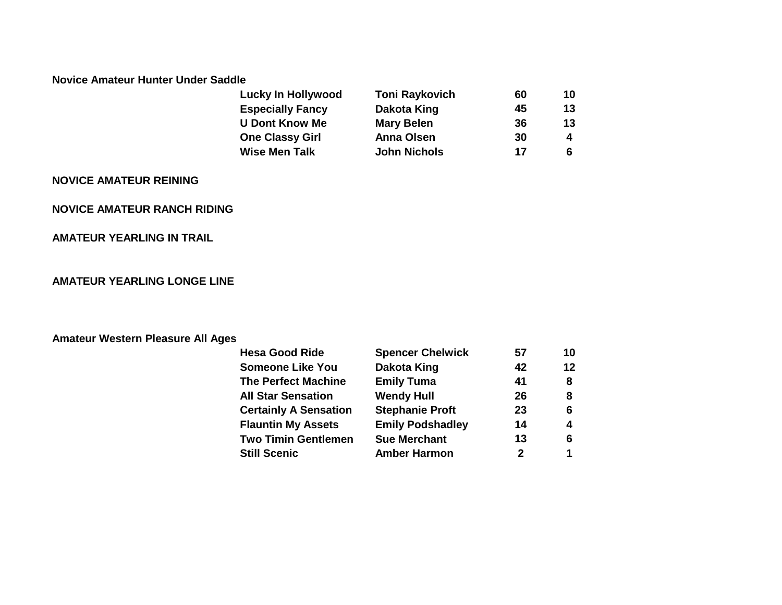#### **Novice Amateur Hunter Under Saddle**

| <b>Lucky In Hollywood</b> | <b>Toni Raykovich</b> | 60 | 10 |
|---------------------------|-----------------------|----|----|
| <b>Especially Fancy</b>   | Dakota King           | 45 | 13 |
| <b>U Dont Know Me</b>     | <b>Mary Belen</b>     | 36 | 13 |
| <b>One Classy Girl</b>    | <b>Anna Olsen</b>     | 30 | Δ  |
| <b>Wise Men Talk</b>      | <b>John Nichols</b>   | 17 |    |

### **NOVICE AMATEUR REINING**

#### **NOVICE AMATEUR RANCH RIDING**

#### **AMATEUR YEARLING IN TRAIL**

### **AMATEUR YEARLING LONGE LINE**

#### **Amateur Western Pleasure All Ages**

| <b>Hesa Good Ride</b>        | <b>Spencer Chelwick</b> | 57          | 10 |
|------------------------------|-------------------------|-------------|----|
| <b>Someone Like You</b>      | <b>Dakota King</b>      | 42          | 12 |
| <b>The Perfect Machine</b>   | <b>Emily Tuma</b>       | 41          | 8  |
| <b>All Star Sensation</b>    | <b>Wendy Hull</b>       | 26          | 8  |
| <b>Certainly A Sensation</b> | <b>Stephanie Proft</b>  | 23          | 6  |
| <b>Flauntin My Assets</b>    | <b>Emily Podshadley</b> | 14          | 4  |
| <b>Two Timin Gentlemen</b>   | <b>Sue Merchant</b>     | 13          | 6  |
| <b>Still Scenic</b>          | <b>Amber Harmon</b>     | $\mathbf 2$ | 1  |
|                              |                         |             |    |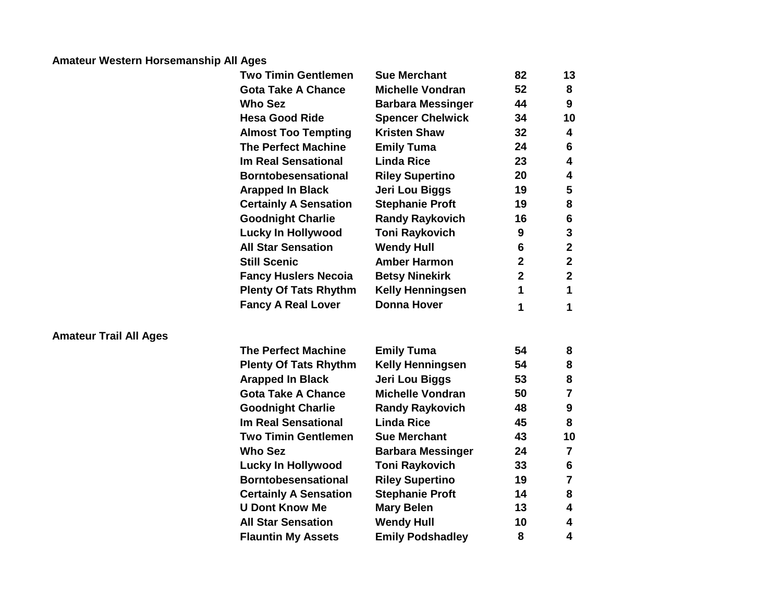# **Amateur Western Horsemanship All Ages**

**Amateur Trail All Ages**

| <b>Michelle Vondran</b><br>52<br><b>Gota Take A Chance</b><br><b>Who Sez</b><br>44<br><b>Barbara Messinger</b><br><b>Hesa Good Ride</b><br><b>Spencer Chelwick</b><br>34<br><b>Kristen Shaw</b><br>32<br><b>Almost Too Tempting</b><br><b>The Perfect Machine</b><br><b>Emily Tuma</b><br>24<br><b>Linda Rice</b><br>23<br><b>Im Real Sensational</b><br>20<br><b>Borntobesensational</b><br><b>Riley Supertino</b><br>19<br><b>Arapped In Black</b><br>Jeri Lou Biggs<br><b>Stephanie Proft</b><br><b>Certainly A Sensation</b><br>19<br><b>Goodnight Charlie</b><br><b>Randy Raykovich</b><br>16<br>9<br><b>Lucky In Hollywood</b><br><b>Toni Raykovich</b><br><b>All Star Sensation</b><br><b>Wendy Hull</b><br>6<br><b>Still Scenic</b><br><b>Amber Harmon</b><br>$\overline{2}$<br>$\overline{2}$<br><b>Fancy Huslers Necoia</b><br><b>Betsy Ninekirk</b><br>1<br><b>Plenty Of Tats Rhythm</b><br><b>Kelly Henningsen</b><br><b>Donna Hover</b><br><b>Fancy A Real Lover</b><br>1<br><b>The Perfect Machine</b><br>54<br><b>Emily Tuma</b><br><b>Kelly Henningsen</b><br>54<br><b>Plenty Of Tats Rhythm</b><br>53<br><b>Arapped In Black</b><br>Jeri Lou Biggs<br><b>Gota Take A Chance</b><br><b>Michelle Vondran</b><br>50<br><b>Goodnight Charlie</b><br><b>Randy Raykovich</b><br>48<br><b>Linda Rice</b><br>45<br><b>Im Real Sensational</b><br>43<br><b>Two Timin Gentlemen</b><br><b>Sue Merchant</b><br><b>Who Sez</b><br>24<br><b>Barbara Messinger</b><br><b>Lucky In Hollywood</b><br><b>Toni Raykovich</b><br>33<br><b>Borntobesensational</b><br><b>Riley Supertino</b><br>19<br><b>Stephanie Proft</b><br>14<br><b>Certainly A Sensation</b><br><b>U Dont Know Me</b><br><b>Mary Belen</b><br>13<br><b>All Star Sensation</b><br><b>Wendy Hull</b><br>10<br>8<br><b>Flauntin My Assets</b><br><b>Emily Podshadley</b> | <b>Two Timin Gentlemen</b> | <b>Sue Merchant</b> | 82 | 13                      |
|------------------------------------------------------------------------------------------------------------------------------------------------------------------------------------------------------------------------------------------------------------------------------------------------------------------------------------------------------------------------------------------------------------------------------------------------------------------------------------------------------------------------------------------------------------------------------------------------------------------------------------------------------------------------------------------------------------------------------------------------------------------------------------------------------------------------------------------------------------------------------------------------------------------------------------------------------------------------------------------------------------------------------------------------------------------------------------------------------------------------------------------------------------------------------------------------------------------------------------------------------------------------------------------------------------------------------------------------------------------------------------------------------------------------------------------------------------------------------------------------------------------------------------------------------------------------------------------------------------------------------------------------------------------------------------------------------------------------------------------------------------------------------------------------------------------------------------------|----------------------------|---------------------|----|-------------------------|
|                                                                                                                                                                                                                                                                                                                                                                                                                                                                                                                                                                                                                                                                                                                                                                                                                                                                                                                                                                                                                                                                                                                                                                                                                                                                                                                                                                                                                                                                                                                                                                                                                                                                                                                                                                                                                                          |                            |                     |    | 8                       |
|                                                                                                                                                                                                                                                                                                                                                                                                                                                                                                                                                                                                                                                                                                                                                                                                                                                                                                                                                                                                                                                                                                                                                                                                                                                                                                                                                                                                                                                                                                                                                                                                                                                                                                                                                                                                                                          |                            |                     |    | 9                       |
|                                                                                                                                                                                                                                                                                                                                                                                                                                                                                                                                                                                                                                                                                                                                                                                                                                                                                                                                                                                                                                                                                                                                                                                                                                                                                                                                                                                                                                                                                                                                                                                                                                                                                                                                                                                                                                          |                            |                     |    | 10                      |
|                                                                                                                                                                                                                                                                                                                                                                                                                                                                                                                                                                                                                                                                                                                                                                                                                                                                                                                                                                                                                                                                                                                                                                                                                                                                                                                                                                                                                                                                                                                                                                                                                                                                                                                                                                                                                                          |                            |                     |    | 4                       |
|                                                                                                                                                                                                                                                                                                                                                                                                                                                                                                                                                                                                                                                                                                                                                                                                                                                                                                                                                                                                                                                                                                                                                                                                                                                                                                                                                                                                                                                                                                                                                                                                                                                                                                                                                                                                                                          |                            |                     |    | 6                       |
|                                                                                                                                                                                                                                                                                                                                                                                                                                                                                                                                                                                                                                                                                                                                                                                                                                                                                                                                                                                                                                                                                                                                                                                                                                                                                                                                                                                                                                                                                                                                                                                                                                                                                                                                                                                                                                          |                            |                     |    | 4                       |
|                                                                                                                                                                                                                                                                                                                                                                                                                                                                                                                                                                                                                                                                                                                                                                                                                                                                                                                                                                                                                                                                                                                                                                                                                                                                                                                                                                                                                                                                                                                                                                                                                                                                                                                                                                                                                                          |                            |                     |    | 4                       |
|                                                                                                                                                                                                                                                                                                                                                                                                                                                                                                                                                                                                                                                                                                                                                                                                                                                                                                                                                                                                                                                                                                                                                                                                                                                                                                                                                                                                                                                                                                                                                                                                                                                                                                                                                                                                                                          |                            |                     |    | 5                       |
|                                                                                                                                                                                                                                                                                                                                                                                                                                                                                                                                                                                                                                                                                                                                                                                                                                                                                                                                                                                                                                                                                                                                                                                                                                                                                                                                                                                                                                                                                                                                                                                                                                                                                                                                                                                                                                          |                            |                     |    | 8                       |
|                                                                                                                                                                                                                                                                                                                                                                                                                                                                                                                                                                                                                                                                                                                                                                                                                                                                                                                                                                                                                                                                                                                                                                                                                                                                                                                                                                                                                                                                                                                                                                                                                                                                                                                                                                                                                                          |                            |                     |    | 6                       |
|                                                                                                                                                                                                                                                                                                                                                                                                                                                                                                                                                                                                                                                                                                                                                                                                                                                                                                                                                                                                                                                                                                                                                                                                                                                                                                                                                                                                                                                                                                                                                                                                                                                                                                                                                                                                                                          |                            |                     |    | 3                       |
|                                                                                                                                                                                                                                                                                                                                                                                                                                                                                                                                                                                                                                                                                                                                                                                                                                                                                                                                                                                                                                                                                                                                                                                                                                                                                                                                                                                                                                                                                                                                                                                                                                                                                                                                                                                                                                          |                            |                     |    | $\overline{2}$          |
|                                                                                                                                                                                                                                                                                                                                                                                                                                                                                                                                                                                                                                                                                                                                                                                                                                                                                                                                                                                                                                                                                                                                                                                                                                                                                                                                                                                                                                                                                                                                                                                                                                                                                                                                                                                                                                          |                            |                     |    | $\mathbf{2}$            |
|                                                                                                                                                                                                                                                                                                                                                                                                                                                                                                                                                                                                                                                                                                                                                                                                                                                                                                                                                                                                                                                                                                                                                                                                                                                                                                                                                                                                                                                                                                                                                                                                                                                                                                                                                                                                                                          |                            |                     |    | $\overline{2}$          |
|                                                                                                                                                                                                                                                                                                                                                                                                                                                                                                                                                                                                                                                                                                                                                                                                                                                                                                                                                                                                                                                                                                                                                                                                                                                                                                                                                                                                                                                                                                                                                                                                                                                                                                                                                                                                                                          |                            |                     |    | 1                       |
|                                                                                                                                                                                                                                                                                                                                                                                                                                                                                                                                                                                                                                                                                                                                                                                                                                                                                                                                                                                                                                                                                                                                                                                                                                                                                                                                                                                                                                                                                                                                                                                                                                                                                                                                                                                                                                          |                            |                     |    | 1                       |
|                                                                                                                                                                                                                                                                                                                                                                                                                                                                                                                                                                                                                                                                                                                                                                                                                                                                                                                                                                                                                                                                                                                                                                                                                                                                                                                                                                                                                                                                                                                                                                                                                                                                                                                                                                                                                                          |                            |                     |    |                         |
|                                                                                                                                                                                                                                                                                                                                                                                                                                                                                                                                                                                                                                                                                                                                                                                                                                                                                                                                                                                                                                                                                                                                                                                                                                                                                                                                                                                                                                                                                                                                                                                                                                                                                                                                                                                                                                          |                            |                     |    | 8                       |
|                                                                                                                                                                                                                                                                                                                                                                                                                                                                                                                                                                                                                                                                                                                                                                                                                                                                                                                                                                                                                                                                                                                                                                                                                                                                                                                                                                                                                                                                                                                                                                                                                                                                                                                                                                                                                                          |                            |                     |    | 8                       |
|                                                                                                                                                                                                                                                                                                                                                                                                                                                                                                                                                                                                                                                                                                                                                                                                                                                                                                                                                                                                                                                                                                                                                                                                                                                                                                                                                                                                                                                                                                                                                                                                                                                                                                                                                                                                                                          |                            |                     |    | 8                       |
|                                                                                                                                                                                                                                                                                                                                                                                                                                                                                                                                                                                                                                                                                                                                                                                                                                                                                                                                                                                                                                                                                                                                                                                                                                                                                                                                                                                                                                                                                                                                                                                                                                                                                                                                                                                                                                          |                            |                     |    | $\overline{7}$          |
|                                                                                                                                                                                                                                                                                                                                                                                                                                                                                                                                                                                                                                                                                                                                                                                                                                                                                                                                                                                                                                                                                                                                                                                                                                                                                                                                                                                                                                                                                                                                                                                                                                                                                                                                                                                                                                          |                            |                     |    | 9                       |
|                                                                                                                                                                                                                                                                                                                                                                                                                                                                                                                                                                                                                                                                                                                                                                                                                                                                                                                                                                                                                                                                                                                                                                                                                                                                                                                                                                                                                                                                                                                                                                                                                                                                                                                                                                                                                                          |                            |                     |    | 8                       |
|                                                                                                                                                                                                                                                                                                                                                                                                                                                                                                                                                                                                                                                                                                                                                                                                                                                                                                                                                                                                                                                                                                                                                                                                                                                                                                                                                                                                                                                                                                                                                                                                                                                                                                                                                                                                                                          |                            |                     |    | 10                      |
|                                                                                                                                                                                                                                                                                                                                                                                                                                                                                                                                                                                                                                                                                                                                                                                                                                                                                                                                                                                                                                                                                                                                                                                                                                                                                                                                                                                                                                                                                                                                                                                                                                                                                                                                                                                                                                          |                            |                     |    | $\overline{\mathbf{7}}$ |
|                                                                                                                                                                                                                                                                                                                                                                                                                                                                                                                                                                                                                                                                                                                                                                                                                                                                                                                                                                                                                                                                                                                                                                                                                                                                                                                                                                                                                                                                                                                                                                                                                                                                                                                                                                                                                                          |                            |                     |    | 6                       |
|                                                                                                                                                                                                                                                                                                                                                                                                                                                                                                                                                                                                                                                                                                                                                                                                                                                                                                                                                                                                                                                                                                                                                                                                                                                                                                                                                                                                                                                                                                                                                                                                                                                                                                                                                                                                                                          |                            |                     |    | $\overline{\mathbf{7}}$ |
|                                                                                                                                                                                                                                                                                                                                                                                                                                                                                                                                                                                                                                                                                                                                                                                                                                                                                                                                                                                                                                                                                                                                                                                                                                                                                                                                                                                                                                                                                                                                                                                                                                                                                                                                                                                                                                          |                            |                     |    | 8                       |
|                                                                                                                                                                                                                                                                                                                                                                                                                                                                                                                                                                                                                                                                                                                                                                                                                                                                                                                                                                                                                                                                                                                                                                                                                                                                                                                                                                                                                                                                                                                                                                                                                                                                                                                                                                                                                                          |                            |                     |    | 4                       |
|                                                                                                                                                                                                                                                                                                                                                                                                                                                                                                                                                                                                                                                                                                                                                                                                                                                                                                                                                                                                                                                                                                                                                                                                                                                                                                                                                                                                                                                                                                                                                                                                                                                                                                                                                                                                                                          |                            |                     |    | 4                       |
|                                                                                                                                                                                                                                                                                                                                                                                                                                                                                                                                                                                                                                                                                                                                                                                                                                                                                                                                                                                                                                                                                                                                                                                                                                                                                                                                                                                                                                                                                                                                                                                                                                                                                                                                                                                                                                          |                            |                     |    | 4                       |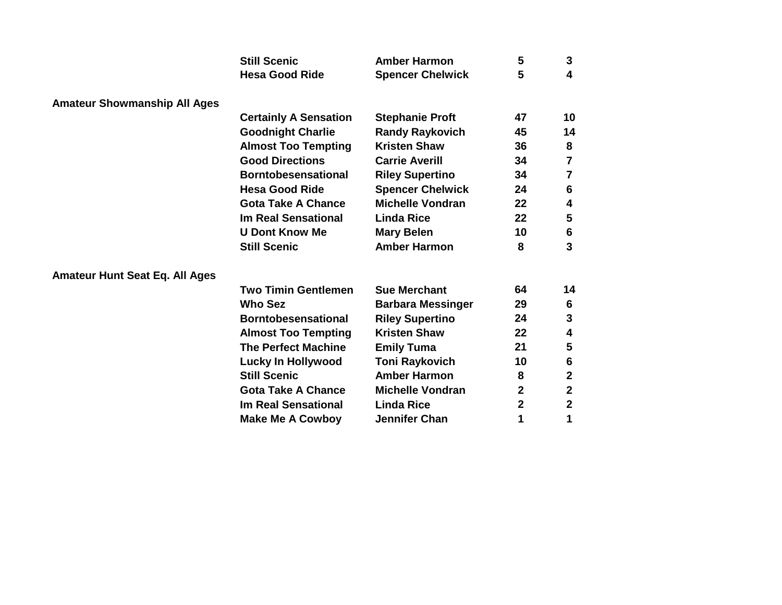|                                       | <b>Still Scenic</b>          | <b>Amber Harmon</b>      | 5           | 3                       |
|---------------------------------------|------------------------------|--------------------------|-------------|-------------------------|
|                                       | <b>Hesa Good Ride</b>        | <b>Spencer Chelwick</b>  | 5           | 4                       |
| <b>Amateur Showmanship All Ages</b>   |                              |                          |             |                         |
|                                       | <b>Certainly A Sensation</b> | <b>Stephanie Proft</b>   | 47          | 10                      |
|                                       | <b>Goodnight Charlie</b>     | <b>Randy Raykovich</b>   | 45          | 14                      |
|                                       | <b>Almost Too Tempting</b>   | <b>Kristen Shaw</b>      | 36          | 8                       |
|                                       | <b>Good Directions</b>       | <b>Carrie Averill</b>    | 34          | $\overline{\mathbf{7}}$ |
|                                       | <b>Borntobesensational</b>   | <b>Riley Supertino</b>   | 34          | $\overline{7}$          |
|                                       | <b>Hesa Good Ride</b>        | <b>Spencer Chelwick</b>  | 24          | 6                       |
|                                       | <b>Gota Take A Chance</b>    | <b>Michelle Vondran</b>  | 22          | 4                       |
|                                       | <b>Im Real Sensational</b>   | <b>Linda Rice</b>        | 22          | 5                       |
|                                       | <b>U Dont Know Me</b>        | <b>Mary Belen</b>        | 10          | 6                       |
|                                       | <b>Still Scenic</b>          | <b>Amber Harmon</b>      | 8           | 3                       |
| <b>Amateur Hunt Seat Eq. All Ages</b> |                              |                          |             |                         |
|                                       | <b>Two Timin Gentlemen</b>   | <b>Sue Merchant</b>      | 64          | 14                      |
|                                       | <b>Who Sez</b>               | <b>Barbara Messinger</b> | 29          | 6                       |
|                                       | <b>Borntobesensational</b>   | <b>Riley Supertino</b>   | 24          | 3                       |
|                                       | <b>Almost Too Tempting</b>   | <b>Kristen Shaw</b>      | 22          | 4                       |
|                                       | <b>The Perfect Machine</b>   | <b>Emily Tuma</b>        | 21          | 5                       |
|                                       | <b>Lucky In Hollywood</b>    | <b>Toni Raykovich</b>    | 10          | 6                       |
|                                       | <b>Still Scenic</b>          | <b>Amber Harmon</b>      | 8           | $\mathbf 2$             |
|                                       | <b>Gota Take A Chance</b>    | <b>Michelle Vondran</b>  | $\mathbf 2$ | $\mathbf 2$             |
|                                       | <b>Im Real Sensational</b>   | <b>Linda Rice</b>        | $\mathbf 2$ | $\mathbf{2}$            |
|                                       | <b>Make Me A Cowboy</b>      | <b>Jennifer Chan</b>     | 1           | 1                       |